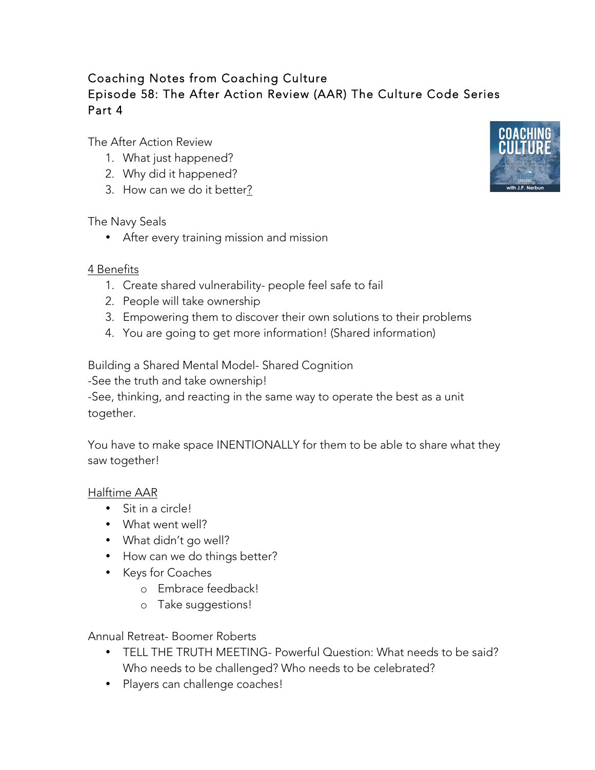## Coaching Notes from Coaching Culture Episode 58: The After Action Review (AAR) The Culture Code Series Part 4

The After Action Review

- 1. What just happened?
- 2. Why did it happened?
- 3. How can we do it better?

## The Navy Seals

• After every training mission and mission

## 4 Benefits

- 1. Create shared vulnerability- people feel safe to fail
- 2. People will take ownership
- 3. Empowering them to discover their own solutions to their problems
- 4. You are going to get more information! (Shared information)

Building a Shared Mental Model- Shared Cognition

-See the truth and take ownership!

-See, thinking, and reacting in the same way to operate the best as a unit together.

You have to make space INENTIONALLY for them to be able to share what they saw together!

## Halftime AAR

- Sit in a circle!
- What went well?
- What didn't go well?
- How can we do things better?
- Keys for Coaches
	- o Embrace feedback!
	- o Take suggestions!

Annual Retreat- Boomer Roberts

- TELL THE TRUTH MEETING- Powerful Question: What needs to be said? Who needs to be challenged? Who needs to be celebrated?
- Players can challenge coaches!